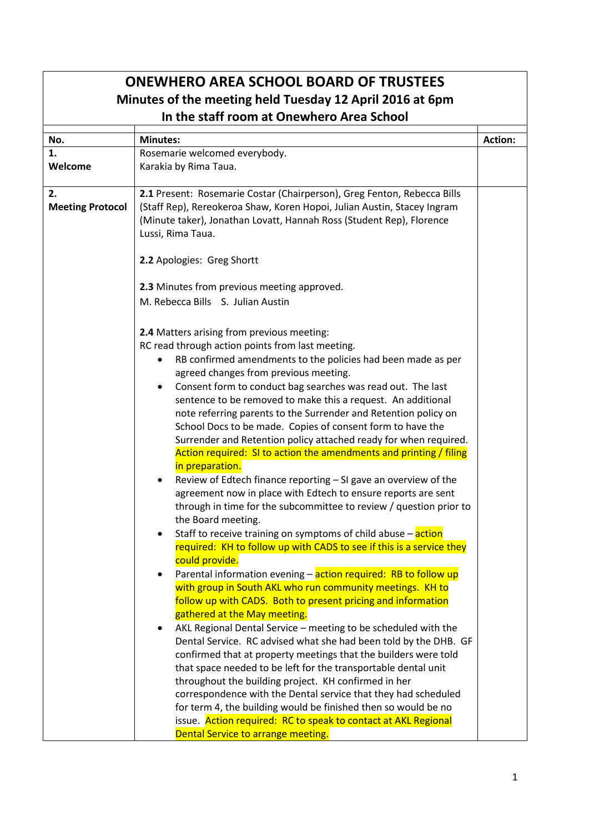| <b>ONEWHERO AREA SCHOOL BOARD OF TRUSTEES</b>            |                                                                                                                                 |         |
|----------------------------------------------------------|---------------------------------------------------------------------------------------------------------------------------------|---------|
| Minutes of the meeting held Tuesday 12 April 2016 at 6pm |                                                                                                                                 |         |
| In the staff room at Onewhero Area School                |                                                                                                                                 |         |
| No.                                                      | <b>Minutes:</b>                                                                                                                 | Action: |
| 1.                                                       | Rosemarie welcomed everybody.                                                                                                   |         |
| Welcome                                                  | Karakia by Rima Taua.                                                                                                           |         |
|                                                          |                                                                                                                                 |         |
| 2.                                                       | 2.1 Present: Rosemarie Costar (Chairperson), Greg Fenton, Rebecca Bills                                                         |         |
| <b>Meeting Protocol</b>                                  | (Staff Rep), Rereokeroa Shaw, Koren Hopoi, Julian Austin, Stacey Ingram                                                         |         |
|                                                          | (Minute taker), Jonathan Lovatt, Hannah Ross (Student Rep), Florence<br>Lussi, Rima Taua.                                       |         |
|                                                          |                                                                                                                                 |         |
|                                                          | 2.2 Apologies: Greg Shortt                                                                                                      |         |
|                                                          |                                                                                                                                 |         |
|                                                          | 2.3 Minutes from previous meeting approved.                                                                                     |         |
|                                                          | M. Rebecca Bills S. Julian Austin                                                                                               |         |
|                                                          |                                                                                                                                 |         |
|                                                          | 2.4 Matters arising from previous meeting:                                                                                      |         |
|                                                          | RC read through action points from last meeting.                                                                                |         |
|                                                          | RB confirmed amendments to the policies had been made as per                                                                    |         |
|                                                          | agreed changes from previous meeting.                                                                                           |         |
|                                                          | Consent form to conduct bag searches was read out. The last                                                                     |         |
|                                                          | sentence to be removed to make this a request. An additional<br>note referring parents to the Surrender and Retention policy on |         |
|                                                          | School Docs to be made. Copies of consent form to have the                                                                      |         |
|                                                          | Surrender and Retention policy attached ready for when required.                                                                |         |
|                                                          | Action required: SI to action the amendments and printing / filing                                                              |         |
|                                                          | in preparation.                                                                                                                 |         |
|                                                          | Review of Edtech finance reporting - SI gave an overview of the                                                                 |         |
|                                                          | agreement now in place with Edtech to ensure reports are sent                                                                   |         |
|                                                          | through in time for the subcommittee to review / question prior to                                                              |         |
|                                                          | the Board meeting.<br>Staff to receive training on symptoms of child abuse - action                                             |         |
|                                                          | required: KH to follow up with CADS to see if this is a service they                                                            |         |
|                                                          | could provide.                                                                                                                  |         |
|                                                          | Parental information evening - action required: RB to follow up<br>$\bullet$                                                    |         |
|                                                          | with group in South AKL who run community meetings. KH to                                                                       |         |
|                                                          | follow up with CADS. Both to present pricing and information                                                                    |         |
|                                                          | gathered at the May meeting.                                                                                                    |         |
|                                                          | AKL Regional Dental Service - meeting to be scheduled with the                                                                  |         |
|                                                          | Dental Service. RC advised what she had been told by the DHB. GF                                                                |         |
|                                                          | confirmed that at property meetings that the builders were told                                                                 |         |
|                                                          | that space needed to be left for the transportable dental unit<br>throughout the building project. KH confirmed in her          |         |
|                                                          | correspondence with the Dental service that they had scheduled                                                                  |         |
|                                                          | for term 4, the building would be finished then so would be no                                                                  |         |
|                                                          | issue. Action required: RC to speak to contact at AKL Regional                                                                  |         |
|                                                          | Dental Service to arrange meeting.                                                                                              |         |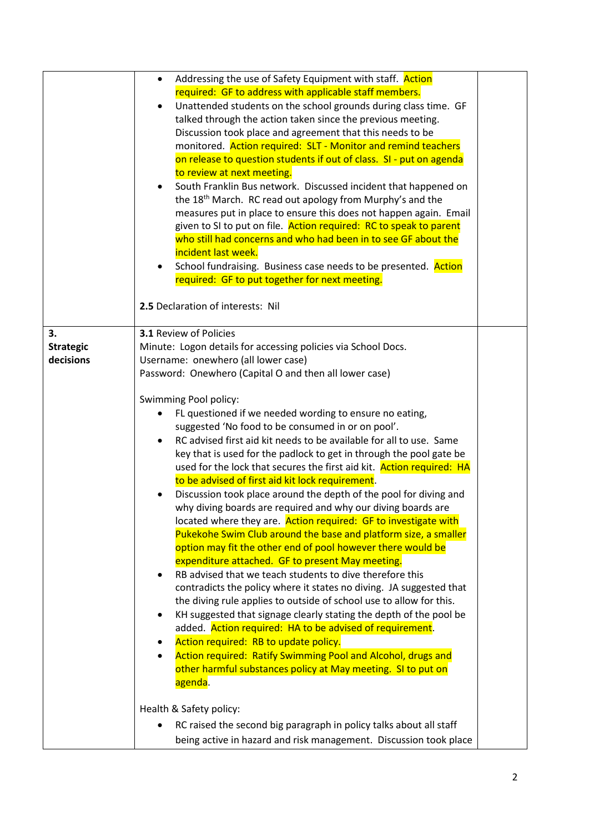|                  | Addressing the use of Safety Equipment with staff. Action<br>٠               |
|------------------|------------------------------------------------------------------------------|
|                  | required: GF to address with applicable staff members.                       |
|                  | Unattended students on the school grounds during class time. GF<br>$\bullet$ |
|                  | talked through the action taken since the previous meeting.                  |
|                  | Discussion took place and agreement that this needs to be                    |
|                  | monitored. Action required: SLT - Monitor and remind teachers                |
|                  | on release to question students if out of class. SI - put on agenda          |
|                  | to review at next meeting.                                                   |
|                  | South Franklin Bus network. Discussed incident that happened on              |
|                  | the 18 <sup>th</sup> March. RC read out apology from Murphy's and the        |
|                  | measures put in place to ensure this does not happen again. Email            |
|                  | given to SI to put on file. Action required: RC to speak to parent           |
|                  | who still had concerns and who had been in to see GF about the               |
|                  | incident last week.                                                          |
|                  |                                                                              |
|                  | School fundraising. Business case needs to be presented. Action              |
|                  | required: GF to put together for next meeting.                               |
|                  |                                                                              |
|                  | 2.5 Declaration of interests: Nil                                            |
|                  |                                                                              |
| 3.               | <b>3.1 Review of Policies</b>                                                |
| <b>Strategic</b> | Minute: Logon details for accessing policies via School Docs.                |
| decisions        | Username: onewhero (all lower case)                                          |
|                  | Password: Onewhero (Capital O and then all lower case)                       |
|                  |                                                                              |
|                  | Swimming Pool policy:                                                        |
|                  | FL questioned if we needed wording to ensure no eating,                      |
|                  | suggested 'No food to be consumed in or on pool'.                            |
|                  | RC advised first aid kit needs to be available for all to use. Same          |
|                  | key that is used for the padlock to get in through the pool gate be          |
|                  | used for the lock that secures the first aid kit. Action required: HA        |
|                  | to be advised of first aid kit lock requirement.                             |
|                  | Discussion took place around the depth of the pool for diving and            |
|                  | why diving boards are required and why our diving boards are                 |
|                  | located where they are. Action required: GF to investigate with              |
|                  | Pukekohe Swim Club around the base and platform size, a smaller              |
|                  | option may fit the other end of pool however there would be                  |
|                  | expenditure attached. GF to present May meeting.                             |
|                  | RB advised that we teach students to dive therefore this<br>$\bullet$        |
|                  | contradicts the policy where it states no diving. JA suggested that          |
|                  | the diving rule applies to outside of school use to allow for this.          |
|                  | KH suggested that signage clearly stating the depth of the pool be           |
|                  | added. Action required: HA to be advised of requirement.                     |
|                  | Action required: RB to update policy.<br>٠                                   |
|                  | Action required: Ratify Swimming Pool and Alcohol, drugs and<br>$\bullet$    |
|                  | other harmful substances policy at May meeting. SI to put on                 |
|                  | agenda.                                                                      |
|                  |                                                                              |
|                  | Health & Safety policy:                                                      |
|                  |                                                                              |
|                  | RC raised the second big paragraph in policy talks about all staff           |
|                  | being active in hazard and risk management. Discussion took place            |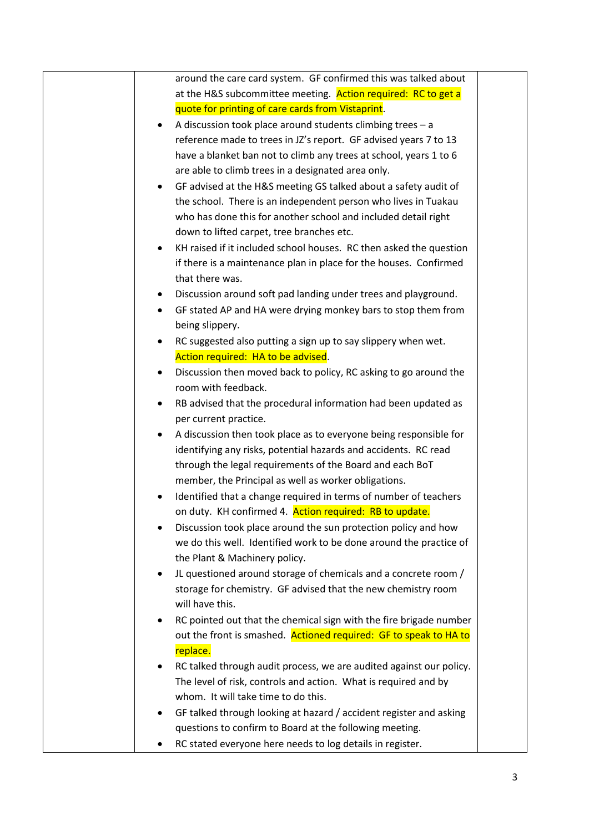| around the care card system. GF confirmed this was talked about                 |  |
|---------------------------------------------------------------------------------|--|
| at the H&S subcommittee meeting. Action required: RC to get a                   |  |
| quote for printing of care cards from Vistaprint.                               |  |
| A discussion took place around students climbing trees $-$ a                    |  |
| reference made to trees in JZ's report. GF advised years 7 to 13                |  |
| have a blanket ban not to climb any trees at school, years 1 to 6               |  |
| are able to climb trees in a designated area only.                              |  |
| GF advised at the H&S meeting GS talked about a safety audit of<br>$\bullet$    |  |
| the school. There is an independent person who lives in Tuakau                  |  |
| who has done this for another school and included detail right                  |  |
| down to lifted carpet, tree branches etc.                                       |  |
| KH raised if it included school houses. RC then asked the question<br>$\bullet$ |  |
| if there is a maintenance plan in place for the houses. Confirmed               |  |
| that there was.                                                                 |  |
| Discussion around soft pad landing under trees and playground.<br>٠             |  |
| GF stated AP and HA were drying monkey bars to stop them from<br>$\bullet$      |  |
| being slippery.                                                                 |  |
| RC suggested also putting a sign up to say slippery when wet.<br>٠              |  |
| Action required: HA to be advised.                                              |  |
| Discussion then moved back to policy, RC asking to go around the<br>$\bullet$   |  |
| room with feedback.                                                             |  |
| RB advised that the procedural information had been updated as                  |  |
| per current practice.                                                           |  |
| A discussion then took place as to everyone being responsible for<br>٠          |  |
| identifying any risks, potential hazards and accidents. RC read                 |  |
| through the legal requirements of the Board and each BoT                        |  |
| member, the Principal as well as worker obligations.                            |  |
| Identified that a change required in terms of number of teachers                |  |
| on duty. KH confirmed 4. Action required: RB to update.                         |  |
| Discussion took place around the sun protection policy and how                  |  |
| we do this well. Identified work to be done around the practice of              |  |
| the Plant & Machinery policy.                                                   |  |
|                                                                                 |  |
| JL questioned around storage of chemicals and a concrete room /                 |  |
| storage for chemistry. GF advised that the new chemistry room                   |  |
| will have this.                                                                 |  |
| RC pointed out that the chemical sign with the fire brigade number<br>٠         |  |
| out the front is smashed. Actioned required: GF to speak to HA to               |  |
| replace.                                                                        |  |
| RC talked through audit process, we are audited against our policy.<br>٠        |  |
| The level of risk, controls and action. What is required and by                 |  |
| whom. It will take time to do this.                                             |  |
| GF talked through looking at hazard / accident register and asking              |  |
| questions to confirm to Board at the following meeting.                         |  |
| RC stated everyone here needs to log details in register.                       |  |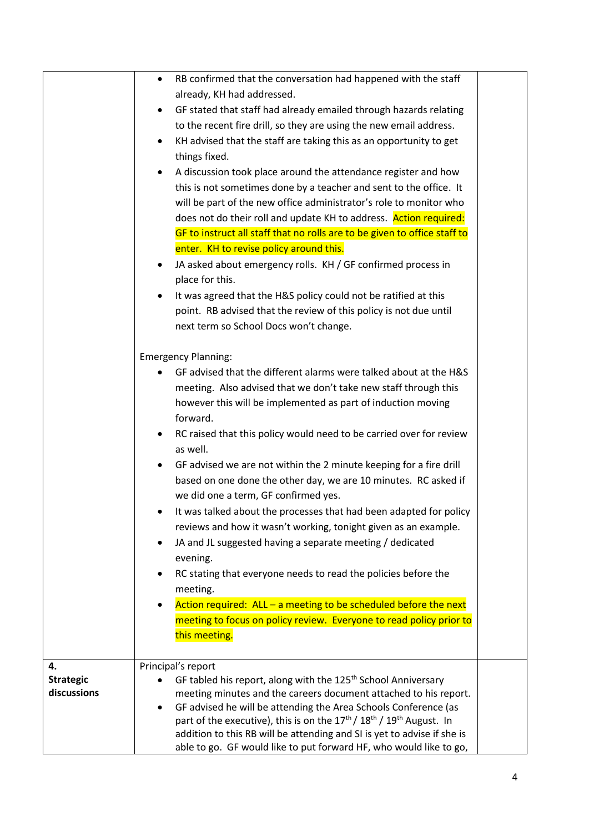|                                       | RB confirmed that the conversation had happened with the staff<br>٠<br>already, KH had addressed.<br>GF stated that staff had already emailed through hazards relating<br>٠<br>to the recent fire drill, so they are using the new email address.<br>KH advised that the staff are taking this as an opportunity to get<br>things fixed.<br>A discussion took place around the attendance register and how<br>this is not sometimes done by a teacher and sent to the office. It                                                                                                                                                                                                                                                                                                                                                                                                                                                                                                                             |  |
|---------------------------------------|--------------------------------------------------------------------------------------------------------------------------------------------------------------------------------------------------------------------------------------------------------------------------------------------------------------------------------------------------------------------------------------------------------------------------------------------------------------------------------------------------------------------------------------------------------------------------------------------------------------------------------------------------------------------------------------------------------------------------------------------------------------------------------------------------------------------------------------------------------------------------------------------------------------------------------------------------------------------------------------------------------------|--|
|                                       | will be part of the new office administrator's role to monitor who<br>does not do their roll and update KH to address. Action required:<br>GF to instruct all staff that no rolls are to be given to office staff to<br>enter. KH to revise policy around this.<br>JA asked about emergency rolls. KH / GF confirmed process in<br>place for this.<br>It was agreed that the H&S policy could not be ratified at this<br>point. RB advised that the review of this policy is not due until<br>next term so School Docs won't change.                                                                                                                                                                                                                                                                                                                                                                                                                                                                         |  |
|                                       | <b>Emergency Planning:</b><br>GF advised that the different alarms were talked about at the H&S<br>meeting. Also advised that we don't take new staff through this<br>however this will be implemented as part of induction moving<br>forward.<br>RC raised that this policy would need to be carried over for review<br>٠<br>as well.<br>GF advised we are not within the 2 minute keeping for a fire drill<br>٠<br>based on one done the other day, we are 10 minutes. RC asked if<br>we did one a term, GF confirmed yes.<br>It was talked about the processes that had been adapted for policy<br>reviews and how it wasn't working, tonight given as an example.<br>JA and JL suggested having a separate meeting / dedicated<br>$\bullet$<br>evening.<br>RC stating that everyone needs to read the policies before the<br>٠<br>meeting.<br>Action required: $ALL - a$ meeting to be scheduled before the next<br>meeting to focus on policy review. Everyone to read policy prior to<br>this meeting. |  |
| 4.<br><b>Strategic</b><br>discussions | Principal's report<br>GF tabled his report, along with the 125 <sup>th</sup> School Anniversary<br>meeting minutes and the careers document attached to his report.<br>GF advised he will be attending the Area Schools Conference (as<br>٠<br>part of the executive), this is on the $17th / 18th / 19th$ August. In<br>addition to this RB will be attending and SI is yet to advise if she is<br>able to go. GF would like to put forward HF, who would like to go,                                                                                                                                                                                                                                                                                                                                                                                                                                                                                                                                       |  |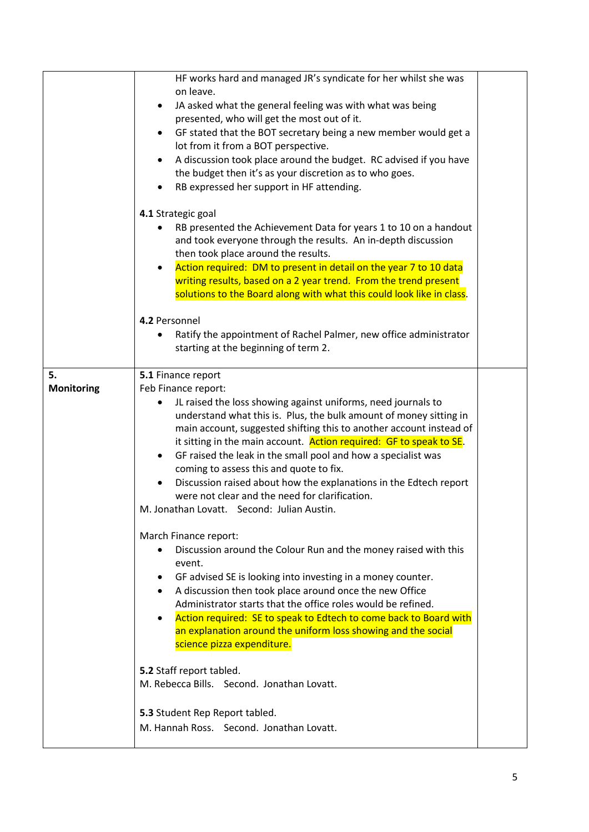|                   | HF works hard and managed JR's syndicate for her whilst she was<br>on leave.<br>JA asked what the general feeling was with what was being<br>$\bullet$<br>presented, who will get the most out of it.<br>GF stated that the BOT secretary being a new member would get a<br>lot from it from a BOT perspective.<br>A discussion took place around the budget. RC advised if you have<br>the budget then it's as your discretion as to who goes.<br>RB expressed her support in HF attending.<br>4.1 Strategic goal<br>RB presented the Achievement Data for years 1 to 10 on a handout<br>and took everyone through the results. An in-depth discussion<br>then took place around the results.<br>Action required: DM to present in detail on the year 7 to 10 data<br>writing results, based on a 2 year trend. From the trend present<br>solutions to the Board along with what this could look like in class.                                                                                                                                         |  |
|-------------------|----------------------------------------------------------------------------------------------------------------------------------------------------------------------------------------------------------------------------------------------------------------------------------------------------------------------------------------------------------------------------------------------------------------------------------------------------------------------------------------------------------------------------------------------------------------------------------------------------------------------------------------------------------------------------------------------------------------------------------------------------------------------------------------------------------------------------------------------------------------------------------------------------------------------------------------------------------------------------------------------------------------------------------------------------------|--|
|                   |                                                                                                                                                                                                                                                                                                                                                                                                                                                                                                                                                                                                                                                                                                                                                                                                                                                                                                                                                                                                                                                          |  |
|                   | 4.2 Personnel<br>Ratify the appointment of Rachel Palmer, new office administrator<br>starting at the beginning of term 2.                                                                                                                                                                                                                                                                                                                                                                                                                                                                                                                                                                                                                                                                                                                                                                                                                                                                                                                               |  |
| 5.                | 5.1 Finance report                                                                                                                                                                                                                                                                                                                                                                                                                                                                                                                                                                                                                                                                                                                                                                                                                                                                                                                                                                                                                                       |  |
| <b>Monitoring</b> | Feb Finance report:                                                                                                                                                                                                                                                                                                                                                                                                                                                                                                                                                                                                                                                                                                                                                                                                                                                                                                                                                                                                                                      |  |
|                   | JL raised the loss showing against uniforms, need journals to<br>understand what this is. Plus, the bulk amount of money sitting in<br>main account, suggested shifting this to another account instead of<br>it sitting in the main account. Action required: GF to speak to SE.<br>GF raised the leak in the small pool and how a specialist was<br>$\bullet$<br>coming to assess this and quote to fix.<br>Discussion raised about how the explanations in the Edtech report<br>were not clear and the need for clarification.<br>M. Jonathan Lovatt. Second: Julian Austin.<br>March Finance report:<br>Discussion around the Colour Run and the money raised with this<br>event.<br>GF advised SE is looking into investing in a money counter.<br>٠<br>A discussion then took place around once the new Office<br>Administrator starts that the office roles would be refined.<br>Action required: SE to speak to Edtech to come back to Board with<br>an explanation around the uniform loss showing and the social<br>science pizza expenditure. |  |
|                   | 5.2 Staff report tabled.<br>M. Rebecca Bills. Second. Jonathan Lovatt.<br>5.3 Student Rep Report tabled.                                                                                                                                                                                                                                                                                                                                                                                                                                                                                                                                                                                                                                                                                                                                                                                                                                                                                                                                                 |  |
|                   | M. Hannah Ross. Second. Jonathan Lovatt.                                                                                                                                                                                                                                                                                                                                                                                                                                                                                                                                                                                                                                                                                                                                                                                                                                                                                                                                                                                                                 |  |

ı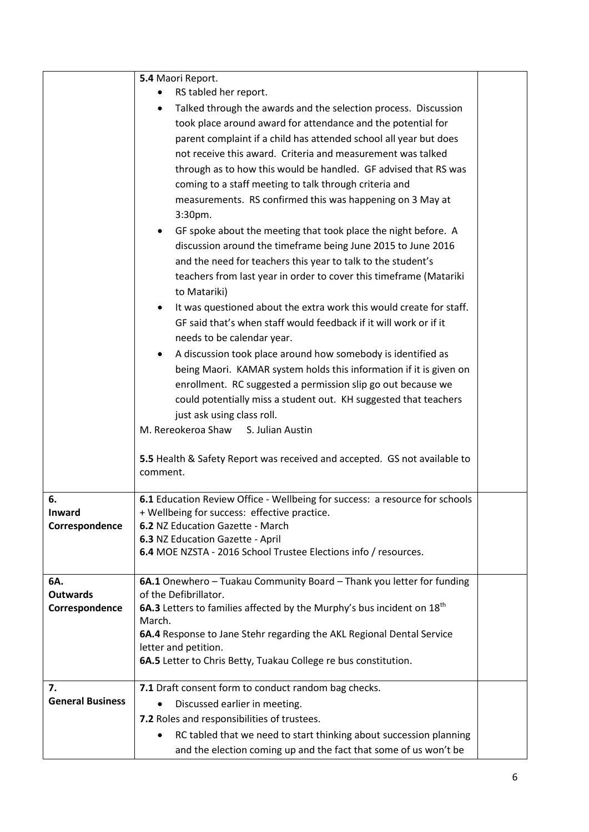|                         | 5.4 Maori Report.                                                                  |  |
|-------------------------|------------------------------------------------------------------------------------|--|
|                         | RS tabled her report.                                                              |  |
|                         | Talked through the awards and the selection process. Discussion<br>٠               |  |
|                         | took place around award for attendance and the potential for                       |  |
|                         | parent complaint if a child has attended school all year but does                  |  |
|                         | not receive this award. Criteria and measurement was talked                        |  |
|                         | through as to how this would be handled. GF advised that RS was                    |  |
|                         | coming to a staff meeting to talk through criteria and                             |  |
|                         | measurements. RS confirmed this was happening on 3 May at                          |  |
|                         | 3:30pm.                                                                            |  |
|                         | GF spoke about the meeting that took place the night before. A                     |  |
|                         | discussion around the timeframe being June 2015 to June 2016                       |  |
|                         | and the need for teachers this year to talk to the student's                       |  |
|                         | teachers from last year in order to cover this timeframe (Matariki                 |  |
|                         | to Matariki)                                                                       |  |
|                         | It was questioned about the extra work this would create for staff.                |  |
|                         | GF said that's when staff would feedback if it will work or if it                  |  |
|                         | needs to be calendar year.                                                         |  |
|                         | A discussion took place around how somebody is identified as                       |  |
|                         | being Maori. KAMAR system holds this information if it is given on                 |  |
|                         | enrollment. RC suggested a permission slip go out because we                       |  |
|                         | could potentially miss a student out. KH suggested that teachers                   |  |
|                         | just ask using class roll.                                                         |  |
|                         | M. Rereokeroa Shaw<br>S. Julian Austin                                             |  |
|                         |                                                                                    |  |
|                         | 5.5 Health & Safety Report was received and accepted. GS not available to          |  |
|                         | comment.                                                                           |  |
| 6.                      | 6.1 Education Review Office - Wellbeing for success: a resource for schools        |  |
| Inward                  | + Wellbeing for success: effective practice.                                       |  |
| Correspondence          | 6.2 NZ Education Gazette - March                                                   |  |
|                         | 6.3 NZ Education Gazette - April                                                   |  |
|                         | 6.4 MOE NZSTA - 2016 School Trustee Elections info / resources.                    |  |
| 6A.                     | 6A.1 Onewhero - Tuakau Community Board - Thank you letter for funding              |  |
| <b>Outwards</b>         | of the Defibrillator.                                                              |  |
| Correspondence          | 6A.3 Letters to families affected by the Murphy's bus incident on 18 <sup>th</sup> |  |
|                         | March.                                                                             |  |
|                         | 6A.4 Response to Jane Stehr regarding the AKL Regional Dental Service              |  |
|                         | letter and petition.                                                               |  |
|                         | 6A.5 Letter to Chris Betty, Tuakau College re bus constitution.                    |  |
| 7.                      | 7.1 Draft consent form to conduct random bag checks.                               |  |
| <b>General Business</b> | Discussed earlier in meeting.                                                      |  |
|                         | 7.2 Roles and responsibilities of trustees.                                        |  |
|                         | RC tabled that we need to start thinking about succession planning                 |  |
|                         | and the election coming up and the fact that some of us won't be                   |  |